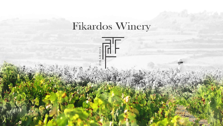# Fikardos Winery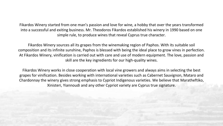Fikardos Winery started from one man's passion and love for wine, a hobby that over the years transformed into a successful and exiting business. Mr. Theodoros Fikardos established his winery in 1990 based on one simple rule, to produce wines that reveal Cyprus true character.

Fikardos Winery sources all its grapes from the winemaking region of Paphos. With its suitable soil composition and its infinite sunshine, Paphos is blessed with being the ideal place to grow vines in perfection. At Fikardos Winery, vinification is carried out with care and use of modern equipment. The love, passion and skill are the key ingredients for our high-quality wines.

Fikardos Winery works in close cooperation with local vine growers and always aims in selecting the best grapes for vinification. Besides working with international varieties such as Cabernet Sauvignon, Mataro and Chardonnay the winery gives strong emphasis to Cypriot Indigenous varieties. We believe that Maratheftiko, Xinisteri, Yiannoudi and any other Cypriot variety are Cyprus true signature.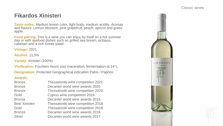## **Fikardos Xinisteri**

**Taste notes:** Medium lemon color, light body, medium acidity. Aromas and flavors: Lemon blossom, pink grapefruit, peach, apricot and green apple.

**Food pairing:** This is a wine you can enjoy by itself on a hot summer day or with seafood dishes such as grilled sea bream, octopus, calamari and a rich Greek salad.

**Vintage:** 2021

**Alcohol:** 11,5%

**Variety:** Xinisteri (100%)

**Vinification:** Fourteen hours cool maceration, fermentation at 14°c.

**Designation:** Protected Geographical indication Pafos / Paphos

| <b>Bronze</b>         | Thessaloniki wine competition 2021  |
|-----------------------|-------------------------------------|
| <b>Bronze</b>         | Decanter world wine awards 2020.    |
| <b>Bronze</b>         | Thessaloniki wine competition 2020. |
| Gold                  | Cyprus wine competition 2019.       |
| <b>Bronze</b>         | Decanter world wine awards 2019.    |
| <b>Best Xinisteri</b> | Thessaloniki wine competition 2018. |
| Gold                  | Thessaloniki wine competition 2018. |
| <b>Bronze</b>         | Decanter world wine awards 2018.    |
| <b>Silver</b>         | Decanter world wine awards 2017.    |
|                       |                                     |



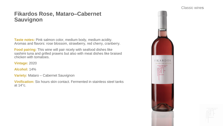### **Fikardos Rose, Mataro–Cabernet Sauvignon**

**Taste notes:** Pink salmon color, medium body, medium acidity. Aromas and flavors: rose blossom, strawberry, red cherry, cranberry.

**Food pairing:** This wine will pair nicely with seafood dishes like sashimi tuna and grilled prawns but also with meat dishes like braised chicken with tomatoes.

**Vintage:** 2020

**Alcohol:** 14%

**Variety:** Mataro – Cabernet Sauvignon

**Vinification:** Six hours skin contact. Fermented in stainless steel tanks at 14°c.



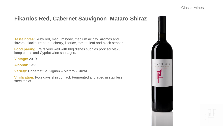### **Fikardos Red, Cabernet Sauvignon–Mataro-Shiraz**

**Taste notes:** Ruby red, medium body, medium acidity. Aromas and flavors: blackcurrant, red cherry, licorice, tomato leaf and black pepper.

**Food pairing:** Pairs very well with bbq dishes such as pork souvlaki, lamp chops and Cypriot wine sausages.

**Vintage:** 2019

**Alcohol:** 13%

**Variety:** Cabernet Sauvignon – Mataro - Shiraz

**Vinification:** Four days skin contact. Fermented and aged in stainless steel tanks.



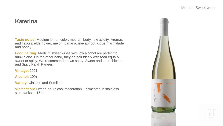#### **Katerina**

**Taste notes:** Medium lemon color, medium body, low acidity. Aromas and flavors: elderflower, melon, banana, ripe apricot, citrus marmalade and honey.

**Food pairing:** Medium sweet wines with low alcohol are perfect to drink alone. On the other hand, they do pair nicely with food equally sweet or spicy. We recommend prawn satay, Sweet and sour chicken and Spicy Palak Paneer**.**

**Vintage:** 2021

**Alcohol:** 10%

**Variety:** Xinisteri and Semillon

**Vinification:** Fifteen hours cool maceration. Fermented in stainless steel tanks at 15°c.



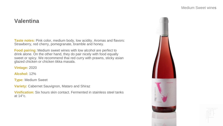### **Valentina**

**Taste notes:** Pink color, medium body, low acidity. Aromas and flavors: Strawberry, red cherry, pomegranate, bramble and honey.

**Food pairing:** Medium sweet wines with low alcohol are perfect to drink alone. On the other hand, they do pair nicely with food equally sweet or spicy. We recommend thai red curry with prawns, sticky asian glazed chicken or chicken tikka masala.

**Vintage:** 2020

**Alcohol:** 12%

**Type:** Medium Sweet

**Variety:** Cabernet Sauvignon, Mataro and Shiraz

**Vinification:** Six hours skin contact. Fermented in stainless steel tanks at 14°c.



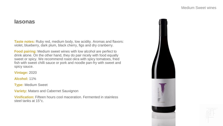#### **Iasonas**

**Taste notes:** Ruby red, medium body, low acidity. Aromas and flavors: violet, blueberry, dark plum, black cherry, figs and dry cranberry.

**Food pairing:** Medium sweet wines with low alcohol are perfect to drink alone. On the other hand, they do pair nicely with food equally sweet or spicy. We recommend roast okra with spicy tomatoes, fried fish with sweet chilli sauce or pork and noodle pan-fry with sweet and spicy sauce.

**Vintage:** 2020

**Alcohol:** 11%

**Type:** Medium Sweet

**Variety: Mataro and Cabernet Sauvignon** 

**Vinification:** Fifteen hours cool maceration. Fermented in stainless steel tanks at 15°c.



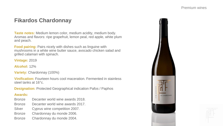### **Fikardos Chardonnay**

**Taste notes:** Medium lemon color, medium acidity, medium body. Aromas and flavors: ripe grapefruit, lemon peal, red apple, white plum and peach.

**Food pairing:** Pairs nicely with dishes such as linguine with mushrooms in a white wine butter sauce, avocado chicken salad and grilled calamari with spinach.

**Vintage:** 2019

**Alcohol:** 12%

**Variety:** Chardonnay (100%)

**Vinification:** Fourteen hours cool maceration. Fermented in stainless steel tanks at 16°c.

**Designation:** Protected Geographical indication Pafos / Paphos

- Bronze Decanter world wine awards 2018.
- Bronze Decanter world wine awards 2017.
- Silver Cyprus wine competition 2007.
- Bronze Chardonnay du monde 2006.
- Bronze Chardonnay du monde 2004.



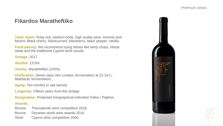### **Fikardos Maratheftiko**

**Taste notes:** Ruby red, medium body, high acidity wine. Aromas and flavors: Black cherry, blackcurrant, blackberry, black pepper, vanilla.

**Food pairing:** We recommend trying dishes like lamp chops, ribeye steak and the traditional Cypriot lamb souvla.

**Vintage:** 2017

**Alcohol:** 13.5%

**Variety:** Maratheftiko (100%)

**Vinification:** Seven days skin contact, fermentation at 22-24°c, Malolactic fermentation.

**Aging:** Ten months in oak barrels

**Longevity:** Fifteen years from the vintage

**Designation:** Protected Geographical indication Pafos / Paphos

- Bronze Thessaloniki wine competition 2018.
- Bronze Decanter world wine awards 2016.
- Silver Cyprus wine competition 2006.



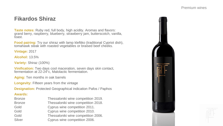### **Fikardos Shiraz**

**Taste notes:** Ruby red, full body, high acidity. Aromas and flavors: grand berry, raspberry, blueberry, strawberry jam, butterscotch, vanilla, toast.

**Food pairing:** Try our shiraz with lamp kleftiko (traditional Cypriot dish), tomahawk steak with roasted vegetables or braised beef cheeks.

**Vintage:** 2017

**Alcohol:** 13.5%

**Variety:** Shiraz (100%)

**Vinification:** Two days cool maceration, seven days skin contact, fermentation at 22-24°c, Malolactic fermentation.

**Aging:** Ten months in oak barrels

**Longevity:** Fifteen years from the vintage

**Designation:** Protected Geographical indication Pafos / Paphos

| <b>Bronze</b> | Thessaloniki wine competition 2019. |
|---------------|-------------------------------------|
| <b>Bronze</b> | Thessaloniki wine competition 2018. |
| Gold          | Cyprus wine competition 2011.       |
| Gold          | Cyprus wine competition 2010.       |
| Gold          | Thessaloniki wine competition 2006. |
| Silver        | Cyprus wine competition 2006.       |



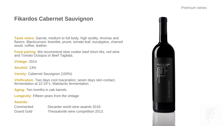### **Fikardos Cabernet Sauvignon**

**Taste notes:** Garnet, medium to full body, high acidity. Aromas and flavors: Blackcurrant, bramble, prune, tomato leaf, eucalyptus, charred wood, coffee, leather.

**Food pairing:** We recommend slow cooker beef short ribs, red wine and Tomato Octopus or Beef Tagliata.

**Vintage:** 2014

**Alcohol:** 13%

**Variety: Cabernet Sauvignon (100%)** 

**Vinification:** Two days cool maceration, seven days skin contact, fermentation at 22-24°c, Malolactic fermentation.

**Aging:** Ten months in oak barrels

**Longevity:** Fifteen years from the vintage

| Commented         | Decanter world wine awards 2018.    |
|-------------------|-------------------------------------|
| <b>Grand Gold</b> | Thessaloniki wine competition 2013. |



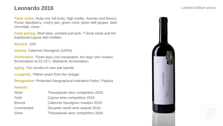### **Leonardo 2016**

**Taste notes:** Ruby red, full body, high acidity. Aromas and flavors: Prune, blackberry, cherry jam, green mind, green bell pepper, dark chocolate, clove.

**Food pairing:** Beef stew, smoked pull pork, T-bone steak and the traditional Cypriot dish Kleftiko.

#### **Alcohol:** 15%

**Variety: Cabernet Sauvignon (100%)** 

**Vinification:** Three days cool maceration, ten days skin contact, fermentation at 22-24°c, Malolactic fermentation.

Aging: Ten months in new oak barrels.

**Longevity:** Fifteen years from the vintage.

**Designation:** Protected Geographical indication Pafos / Paphos

| <b>Silver</b> | Thessaloniki wine competition 2020. |
|---------------|-------------------------------------|
| Gold          | Cyprus wine competition 2019.       |
| <b>Bronze</b> | Cabernet Sauvignon masters 2019.    |
| Commented     | Decanter world wine awards 2016.    |
| Silver        | Thessaloniki wine competition 2004. |



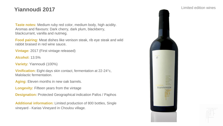### **Yiannoudi 2017**

**Taste notes:** Medium ruby red color, medium body, high acidity. Aromas and flavours: Dark cherry, dark plum, blackberry, blackcurrant, vanilla and nutmeg.

**Food pairing:** Meat dishes like venison steak, rib eye steak and wild rabbit braised in red wine sauce.

**Vintage:** 2017 (First vintage released)

**Alcohol:** 13.5%

**Variety:** Yiannoudi (100%)

**Vinification:** Eight days skin contact, fermentation at 22-24°c, Malolactic fermentation.

**Aging:** Eleven months in new oak barrels.

**Longevity:** Fifteen years from the vintage

**Designation:** Protected Geographical indication Pafos / Paphos

**Additional information:** Limited production of 800 bottles, Single vineyard - Karias Vineyard in Choulou village.



Limited edition wines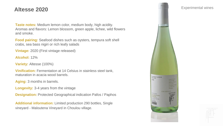### **Altesse 2020**

**Taste notes:** Medium lemon color, medium body, high acidity. Aromas and flavors: Lemon blossom, green apple, lichee, wild flowers and smoke.

**Food pairing:** Seafood dishes such as oysters, tempura soft shell crabs, sea bass nigiri or rich leafy salads

**Vintage:** 2020 (First vintage released)

**Alcohol:** 12%

**Variety:** Altesse (100%)

**Vinification:** Fermentation at 14 Celsius in stainless steel tank, maturation in acacia wood barrels.

**Aging:** 3 months in barrels.

**Longevity:** 3-4 years from the vintage

**Designation:** Protected Geographical indication Pafos / Paphos

**Additional information:** Limited production 290 bottles, Single vineyard - Maloutena Vineyard in Choulou village.

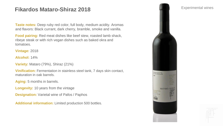### **Fikardos Mataro-Shiraz 2018**

**Taste notes:** Deep ruby red color, full body, medium acidity. Aromas and flavors: Black currant, dark cherry, bramble, smoke and vanilla.

**Food pairing:** Red meat dishes like beef stew, roasted lamb shack, ribeye steak or with rich vegan dishes such as baked okra and tomatoes.

**Vintage:** 2018

**Alcohol:** 14%

**Variety:** Mataro (79%), Shiraz (21%)

**Vinification:** Fermentation in stainless steel tank, 7 days skin contact, maturation in oak barrels.

**Aging:** 5 months in barrels.

**Longevity:** 10 years from the vintage

**Designation:** Varietal wine of Pafos / Paphos

**Additional information:** Limited production 500 bottles.